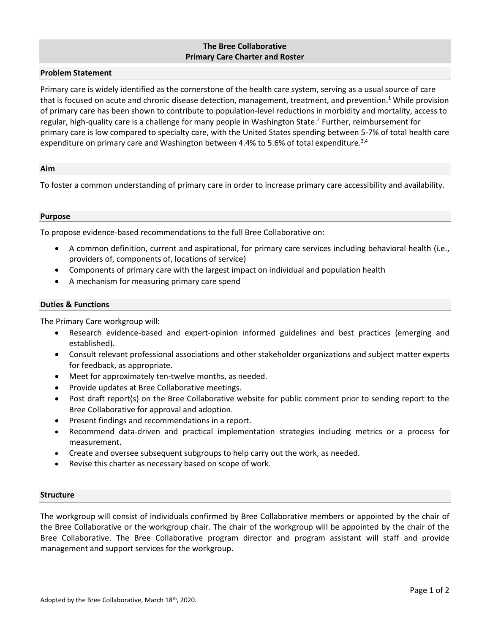# **The Bree Collaborative Primary Care Charter and Roster**

## **Problem Statement**

Primary care is widely identified as the cornerstone of the health care system, serving as a usual source of care that is focused on acute and chronic disease detection, management, treatment, and prevention. <sup>1</sup> While provision of primary care has been shown to contribute to population-level reductions in morbidity and mortality, access to regular, high-quality care is a challenge for many people in Washington State. 2 Further, reimbursement for primary care is low compared to specialty care, with the United States spending between 5-7% of total health care expenditure on primary care and Washington between 4.4% to 5.6% of total expenditure.<sup>3,4</sup>

#### **Aim**

To foster a common understanding of primary care in order to increase primary care accessibility and availability.

#### **Purpose**

To propose evidence-based recommendations to the full Bree Collaborative on:

- A common definition, current and aspirational, for primary care services including behavioral health (i.e., providers of, components of, locations of service)
- Components of primary care with the largest impact on individual and population health
- A mechanism for measuring primary care spend

# **Duties & Functions**

The Primary Care workgroup will:

- Research evidence-based and expert-opinion informed guidelines and best practices (emerging and established).
- Consult relevant professional associations and other stakeholder organizations and subject matter experts for feedback, as appropriate.
- Meet for approximately ten-twelve months, as needed.
- Provide updates at Bree Collaborative meetings.
- Post draft report(s) on the Bree Collaborative website for public comment prior to sending report to the Bree Collaborative for approval and adoption.
- Present findings and recommendations in a report.
- Recommend data-driven and practical implementation strategies including metrics or a process for measurement.
- Create and oversee subsequent subgroups to help carry out the work, as needed.
- Revise this charter as necessary based on scope of work.

## **Structure**

The workgroup will consist of individuals confirmed by Bree Collaborative members or appointed by the chair of the Bree Collaborative or the workgroup chair. The chair of the workgroup will be appointed by the chair of the Bree Collaborative. The Bree Collaborative program director and program assistant will staff and provide management and support services for the workgroup.